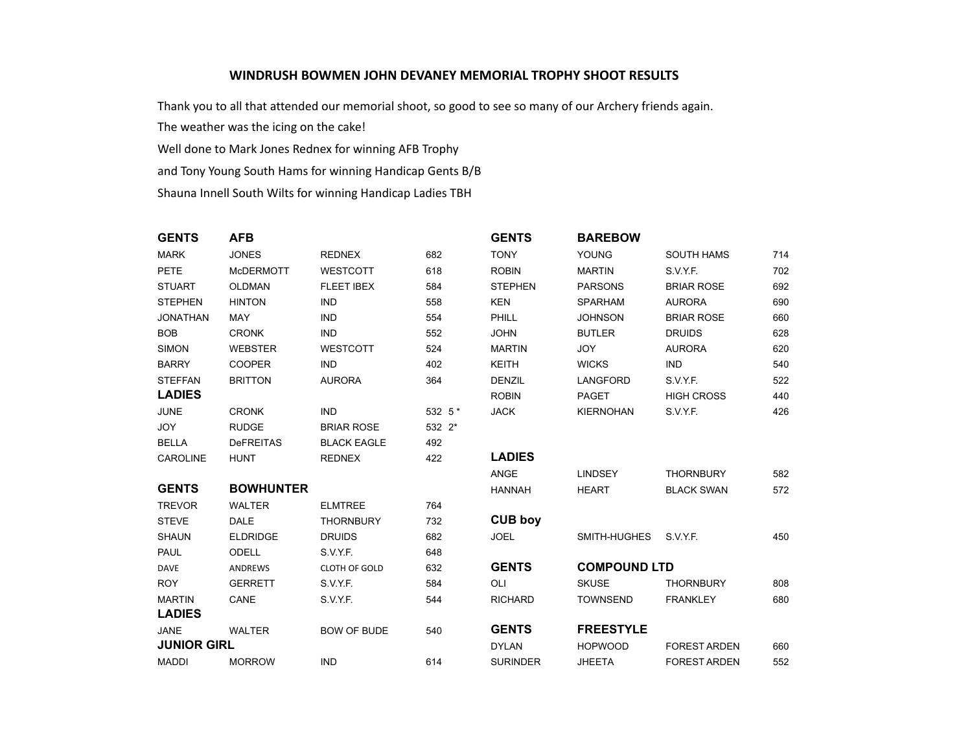## **WINDRUSH BOWMEN JOHN DEVANEY MEMORIAL TROPHY SHOOT RESULTS**

Thank you to all that attended our memorial shoot, so good to see so many of our Archery friends again.

The weather was the icing on the cake!

Well done to Mark Jones Rednex for winning AFB Trophy

and Tony Young South Hams for winning Handicap Gents B/B

Shauna Innell South Wilts for winning Handicap Ladies TBH

| <b>GENTS</b>       | <b>AFB</b>       |                      |         | <b>GENTS</b>    | <b>BAREBOW</b>      |                     |     |
|--------------------|------------------|----------------------|---------|-----------------|---------------------|---------------------|-----|
| <b>MARK</b>        | <b>JONES</b>     | <b>REDNEX</b>        | 682     | <b>TONY</b>     | YOUNG               | <b>SOUTH HAMS</b>   | 714 |
| PETE               | <b>McDERMOTT</b> | <b>WESTCOTT</b>      | 618     | <b>ROBIN</b>    | <b>MARTIN</b>       | S.V.Y.F.            | 702 |
| <b>STUART</b>      | <b>OLDMAN</b>    | <b>FLEET IBEX</b>    | 584     | <b>STEPHEN</b>  | <b>PARSONS</b>      | <b>BRIAR ROSE</b>   | 692 |
| <b>STEPHEN</b>     | <b>HINTON</b>    | <b>IND</b>           | 558     | <b>KEN</b>      | <b>SPARHAM</b>      | <b>AURORA</b>       | 690 |
| <b>JONATHAN</b>    | <b>MAY</b>       | <b>IND</b>           | 554     | PHILL           | <b>JOHNSON</b>      | <b>BRIAR ROSE</b>   | 660 |
| <b>BOB</b>         | <b>CRONK</b>     | <b>IND</b>           | 552     | <b>JOHN</b>     | <b>BUTLER</b>       | <b>DRUIDS</b>       | 628 |
| <b>SIMON</b>       | <b>WEBSTER</b>   | WESTCOTT             | 524     | <b>MARTIN</b>   | <b>JOY</b>          | <b>AURORA</b>       | 620 |
| <b>BARRY</b>       | <b>COOPER</b>    | <b>IND</b>           | 402     | <b>KEITH</b>    | <b>WICKS</b>        | <b>IND</b>          | 540 |
| <b>STEFFAN</b>     | <b>BRITTON</b>   | <b>AURORA</b>        | 364     | <b>DENZIL</b>   | <b>LANGFORD</b>     | S.V.Y.F.            | 522 |
| <b>LADIES</b>      |                  |                      |         | <b>ROBIN</b>    | PAGET               | <b>HIGH CROSS</b>   | 440 |
| <b>JUNE</b>        | <b>CRONK</b>     | <b>IND</b>           | 532 5 * | <b>JACK</b>     | <b>KIERNOHAN</b>    | S.V.Y.F.            | 426 |
| <b>JOY</b>         | <b>RUDGE</b>     | <b>BRIAR ROSE</b>    | 532 2*  |                 |                     |                     |     |
| <b>BELLA</b>       | <b>DeFREITAS</b> | <b>BLACK EAGLE</b>   | 492     |                 |                     |                     |     |
| <b>CAROLINE</b>    | <b>HUNT</b>      | <b>REDNEX</b>        | 422     | <b>LADIES</b>   |                     |                     |     |
|                    |                  |                      |         | ANGE            | <b>LINDSEY</b>      | <b>THORNBURY</b>    | 582 |
| <b>GENTS</b>       | <b>BOWHUNTER</b> |                      |         | <b>HANNAH</b>   | <b>HEART</b>        | <b>BLACK SWAN</b>   | 572 |
| <b>TREVOR</b>      | <b>WALTER</b>    | <b>ELMTREE</b>       | 764     |                 |                     |                     |     |
| <b>STEVE</b>       | <b>DALE</b>      | <b>THORNBURY</b>     | 732     | <b>CUB boy</b>  |                     |                     |     |
| <b>SHAUN</b>       | <b>ELDRIDGE</b>  | <b>DRUIDS</b>        | 682     | <b>JOEL</b>     | SMITH-HUGHES        | S.V.Y.F.            | 450 |
| <b>PAUL</b>        | <b>ODELL</b>     | S.V.Y.F.             | 648     |                 |                     |                     |     |
| <b>DAVE</b>        | ANDREWS          | <b>CLOTH OF GOLD</b> | 632     | <b>GENTS</b>    | <b>COMPOUND LTD</b> |                     |     |
| <b>ROY</b>         | <b>GERRETT</b>   | S.V.Y.F.             | 584     | <b>OLI</b>      | <b>SKUSE</b>        | <b>THORNBURY</b>    | 808 |
| <b>MARTIN</b>      | CANE             | S.V.Y.F.             | 544     | <b>RICHARD</b>  | <b>TOWNSEND</b>     | <b>FRANKLEY</b>     | 680 |
| <b>LADIES</b>      |                  |                      |         |                 |                     |                     |     |
| <b>JANE</b>        | <b>WALTER</b>    | <b>BOW OF BUDE</b>   | 540     | <b>GENTS</b>    | <b>FREESTYLE</b>    |                     |     |
| <b>JUNIOR GIRL</b> |                  |                      |         | <b>DYLAN</b>    | <b>HOPWOOD</b>      | <b>FOREST ARDEN</b> | 660 |
| <b>MADDI</b>       | <b>MORROW</b>    | <b>IND</b>           | 614     | <b>SURINDER</b> | <b>JHEETA</b>       | <b>FOREST ARDEN</b> | 552 |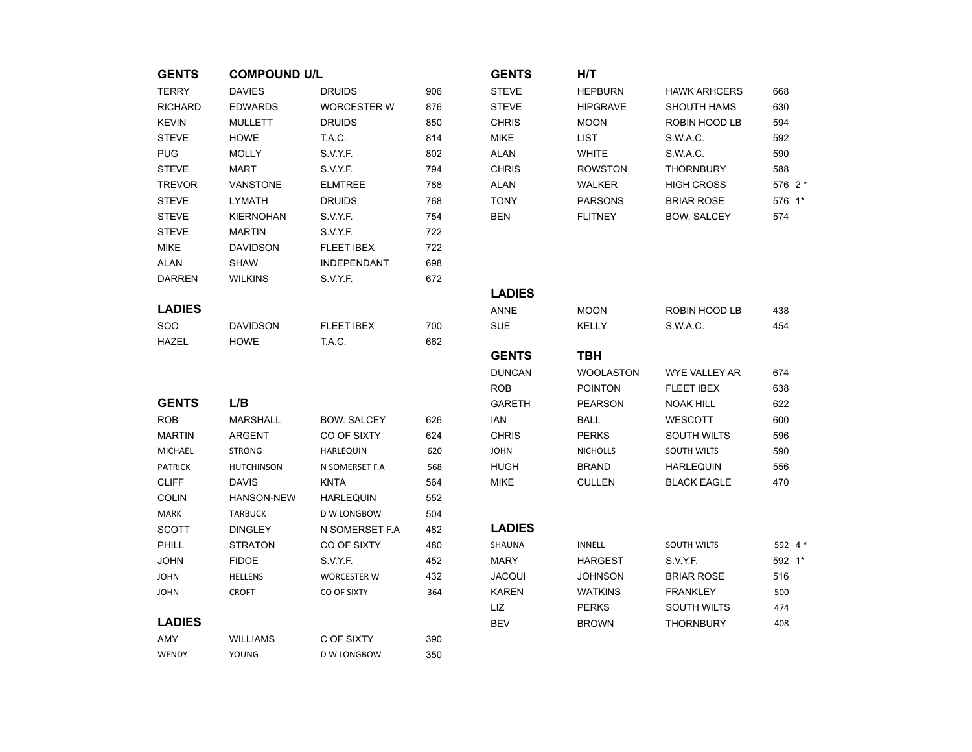| <b>GENTS</b>   | <b>COMPOUND U/L</b> |                    |     | <b>GENTS</b>  | H/T              |                      |          |
|----------------|---------------------|--------------------|-----|---------------|------------------|----------------------|----------|
| <b>TERRY</b>   | <b>DAVIES</b>       | <b>DRUIDS</b>      | 906 | <b>STEVE</b>  | <b>HEPBURN</b>   | <b>HAWK ARHCERS</b>  | 668      |
| <b>RICHARD</b> | <b>EDWARDS</b>      | <b>WORCESTER W</b> | 876 | <b>STEVE</b>  | <b>HIPGRAVE</b>  | <b>SHOUTH HAMS</b>   | 630      |
| <b>KEVIN</b>   | <b>MULLETT</b>      | <b>DRUIDS</b>      | 850 | <b>CHRIS</b>  | <b>MOON</b>      | ROBIN HOOD LB        | 594      |
| <b>STEVE</b>   | <b>HOWE</b>         | T.A.C.             | 814 | <b>MIKE</b>   | <b>LIST</b>      | S.W.A.C.             | 592      |
| <b>PUG</b>     | <b>MOLLY</b>        | S.V.Y.F.           | 802 | <b>ALAN</b>   | <b>WHITE</b>     | S.W.A.C.             | 590      |
| <b>STEVE</b>   | <b>MART</b>         | S.V.Y.F.           | 794 | <b>CHRIS</b>  | <b>ROWSTON</b>   | <b>THORNBURY</b>     | 588      |
| <b>TREVOR</b>  | <b>VANSTONE</b>     | <b>ELMTREE</b>     | 788 | <b>ALAN</b>   | <b>WALKER</b>    | <b>HIGH CROSS</b>    | 576 2 *  |
| <b>STEVE</b>   | <b>LYMATH</b>       | <b>DRUIDS</b>      | 768 | <b>TONY</b>   | <b>PARSONS</b>   | <b>BRIAR ROSE</b>    | 576 1*   |
| <b>STEVE</b>   | <b>KIERNOHAN</b>    | S.V.Y.F.           | 754 | <b>BEN</b>    | <b>FLITNEY</b>   | <b>BOW. SALCEY</b>   | 574      |
| <b>STEVE</b>   | <b>MARTIN</b>       | S.V.Y.F.           | 722 |               |                  |                      |          |
| <b>MIKE</b>    | <b>DAVIDSON</b>     | <b>FLEET IBEX</b>  | 722 |               |                  |                      |          |
| <b>ALAN</b>    | <b>SHAW</b>         | <b>INDEPENDANT</b> | 698 |               |                  |                      |          |
| <b>DARREN</b>  | WILKINS             | S.V.Y.F.           | 672 |               |                  |                      |          |
|                |                     |                    |     | <b>LADIES</b> |                  |                      |          |
| <b>LADIES</b>  |                     |                    |     | <b>ANNE</b>   | <b>MOON</b>      | ROBIN HOOD LB        | 438      |
| SOO            | <b>DAVIDSON</b>     | <b>FLEET IBEX</b>  | 700 | <b>SUE</b>    | <b>KELLY</b>     | S.W.A.C.             | 454      |
| <b>HAZEL</b>   | <b>HOWE</b>         | T.A.C.             | 662 |               |                  |                      |          |
|                |                     |                    |     | <b>GENTS</b>  | <b>TBH</b>       |                      |          |
|                |                     |                    |     | <b>DUNCAN</b> | <b>WOOLASTON</b> | <b>WYE VALLEY AR</b> | 674      |
|                |                     |                    |     | <b>ROB</b>    | <b>POINTON</b>   | <b>FLEET IBEX</b>    | 638      |
| <b>GENTS</b>   | L/B                 |                    |     | <b>GARETH</b> | <b>PEARSON</b>   | <b>NOAK HILL</b>     | 622      |
| <b>ROB</b>     | <b>MARSHALL</b>     | <b>BOW. SALCEY</b> | 626 | <b>IAN</b>    | <b>BALL</b>      | <b>WESCOTT</b>       | 600      |
| <b>MARTIN</b>  | <b>ARGENT</b>       | CO OF SIXTY        | 624 | <b>CHRIS</b>  | <b>PERKS</b>     | <b>SOUTH WILTS</b>   | 596      |
| MICHAEL        | <b>STRONG</b>       | <b>HARLEQUIN</b>   | 620 | <b>JOHN</b>   | <b>NICHOLLS</b>  | SOUTH WILTS          | 590      |
| <b>PATRICK</b> | <b>HUTCHINSON</b>   | N SOMERSET F.A     | 568 | <b>HUGH</b>   | <b>BRAND</b>     | <b>HARLEQUIN</b>     | 556      |
| <b>CLIFF</b>   | <b>DAVIS</b>        | <b>KNTA</b>        | 564 | <b>MIKE</b>   | <b>CULLEN</b>    | <b>BLACK EAGLE</b>   | 470      |
| <b>COLIN</b>   | HANSON-NEW          | <b>HARLEQUIN</b>   | 552 |               |                  |                      |          |
| <b>MARK</b>    | <b>TARBUCK</b>      | D W LONGBOW        | 504 |               |                  |                      |          |
| <b>SCOTT</b>   | <b>DINGLEY</b>      | N SOMERSET F.A     | 482 | <b>LADIES</b> |                  |                      |          |
| PHILL          | <b>STRATON</b>      | CO OF SIXTY        | 480 | SHAUNA        | <b>INNELL</b>    | SOUTH WILTS          | 592 $4*$ |
| <b>JOHN</b>    | <b>FIDOE</b>        | S.V.Y.F.           | 452 | <b>MARY</b>   | <b>HARGEST</b>   | S.V.Y.F.             | 592 1*   |
| <b>JOHN</b>    | <b>HELLENS</b>      | <b>WORCESTER W</b> | 432 | <b>JACQUI</b> | <b>JOHNSON</b>   | <b>BRIAR ROSE</b>    | 516      |
| <b>JOHN</b>    | <b>CROFT</b>        | CO OF SIXTY        | 364 | <b>KAREN</b>  | <b>WATKINS</b>   | <b>FRANKLEY</b>      | 500      |
|                |                     |                    |     | LIZ           | <b>PERKS</b>     | <b>SOUTH WILTS</b>   | 474      |
| <b>LADIES</b>  |                     |                    |     | <b>BEV</b>    | <b>BROWN</b>     | <b>THORNBURY</b>     | 408      |
| AMY            | <b>WILLIAMS</b>     | C OF SIXTY         | 390 |               |                  |                      |          |
| WENDY          | YOUNG               | D W LONGBOW        | 350 |               |                  |                      |          |

| NTS | H/T             |                     |          |
|-----|-----------------|---------------------|----------|
| :VE | <b>HEPBURN</b>  | <b>HAWK ARHCERS</b> | 668      |
| :VE | <b>HIPGRAVE</b> | <b>SHOUTH HAMS</b>  | 630      |
| રાડ | <b>MOON</b>     | ROBIN HOOD LB       | 594      |
| E   | LIST            | S.W.A.C.            | 592      |
| N   | <b>WHITE</b>    | S.W.A.C.            | 590      |
| રાડ | <b>ROWSTON</b>  | <b>THORNBURY</b>    | 588      |
| N   | <b>WALKER</b>   | <b>HIGH CROSS</b>   | 576 $2*$ |
| ۷Y  | <b>PARSONS</b>  | <b>BRIAR ROSE</b>   | 576 1*   |
| 1   | <b>FLITNEY</b>  | <b>BOW. SALCEY</b>  | 574      |

| DARREN        | <b>WILKINS</b>  | S.V.Y.F.          | 0/2 |               |                  |                      |     |
|---------------|-----------------|-------------------|-----|---------------|------------------|----------------------|-----|
|               |                 |                   |     | <b>LADIES</b> |                  |                      |     |
| <b>LADIES</b> |                 |                   |     | <b>ANNE</b>   | <b>MOON</b>      | ROBIN HOOD LB        | 438 |
| SOO           | <b>DAVIDSON</b> | <b>FLEET IBEX</b> | 700 | <b>SUE</b>    | <b>KELLY</b>     | S.W.A.C.             | 454 |
| HAZEL         | <b>HOWE</b>     | T.A.C.            | 662 |               |                  |                      |     |
|               |                 |                   |     | <b>GENTS</b>  | твн              |                      |     |
|               |                 |                   |     | <b>DUNCAN</b> | <b>WOOLASTON</b> | <b>WYE VALLEY AR</b> | 674 |
|               |                 |                   |     |               |                  |                      |     |

| ROB          | <b>POINTON</b>  | <b>FLEET IBEX</b>  | 638 |
|--------------|-----------------|--------------------|-----|
| GARETH       | <b>PEARSON</b>  | <b>NOAK HILL</b>   | 622 |
| IAN          | BALL            | <b>WESCOTT</b>     | 600 |
| <b>CHRIS</b> | <b>PERKS</b>    | <b>SOUTH WILTS</b> | 596 |
| JOHN         | <b>NICHOLLS</b> | <b>SOUTH WILTS</b> | 590 |
| HUGH         | <b>BRAND</b>    | <b>HARLEQUIN</b>   | 556 |
| MIKE         | CULLEN          | <b>BLACK EAGLE</b> | 470 |

## LADIES

| SHAUNA | INNELL         | <b>SOUTH WILTS</b> | 592 $4*$   |  |
|--------|----------------|--------------------|------------|--|
| MARY   | <b>HARGEST</b> | S.V.Y.F.           | $592 \t1*$ |  |
| JACQUI | <b>JOHNSON</b> | <b>BRIAR ROSE</b>  | 516        |  |
| KAREN  | <b>WATKINS</b> | <b>FRANKLEY</b>    | 500        |  |
| LIZ    | <b>PERKS</b>   | <b>SOUTH WILTS</b> | 474        |  |
| BEV    | <b>BROWN</b>   | <b>THORNBURY</b>   | 408        |  |